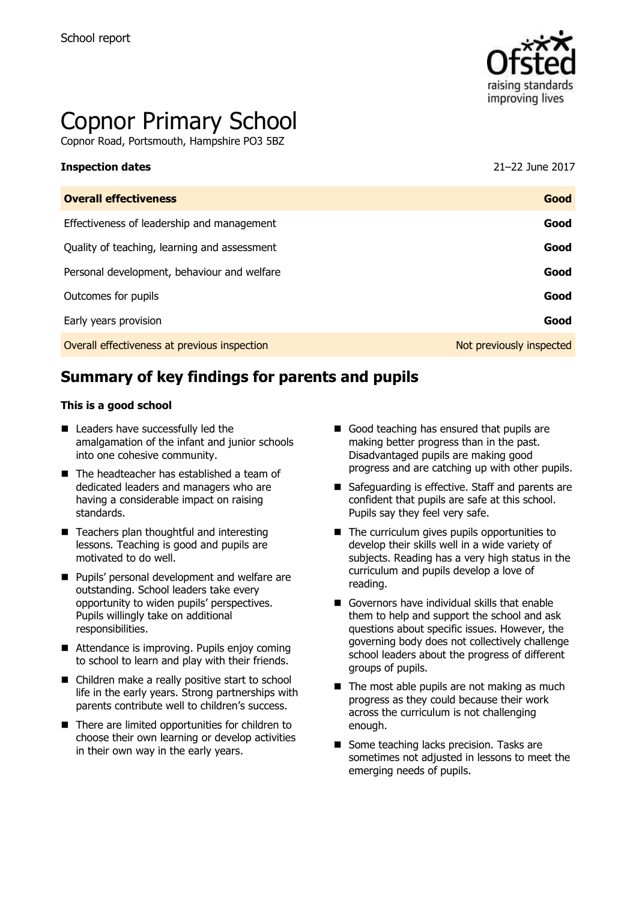

# Copnor Primary School

Copnor Road, Portsmouth, Hampshire PO3 5BZ

#### **Inspection dates** 21–22 June 2017

| <b>Overall effectiveness</b>                 | Good                     |
|----------------------------------------------|--------------------------|
| Effectiveness of leadership and management   | Good                     |
| Quality of teaching, learning and assessment | Good                     |
| Personal development, behaviour and welfare  | Good                     |
| Outcomes for pupils                          | Good                     |
| Early years provision                        | Good                     |
| Overall effectiveness at previous inspection | Not previously inspected |
|                                              |                          |

# **Summary of key findings for parents and pupils**

#### **This is a good school**

- Leaders have successfully led the amalgamation of the infant and junior schools into one cohesive community.
- The headteacher has established a team of dedicated leaders and managers who are having a considerable impact on raising standards.
- Teachers plan thoughtful and interesting lessons. Teaching is good and pupils are motivated to do well.
- **Pupils' personal development and welfare are** outstanding. School leaders take every opportunity to widen pupils' perspectives. Pupils willingly take on additional responsibilities.
- Attendance is improving. Pupils enjoy coming to school to learn and play with their friends.
- Children make a really positive start to school life in the early years. Strong partnerships with parents contribute well to children's success.
- There are limited opportunities for children to choose their own learning or develop activities in their own way in the early years.
- Good teaching has ensured that pupils are making better progress than in the past. Disadvantaged pupils are making good progress and are catching up with other pupils.
- Safeguarding is effective. Staff and parents are confident that pupils are safe at this school. Pupils say they feel very safe.
- $\blacksquare$  The curriculum gives pupils opportunities to develop their skills well in a wide variety of subjects. Reading has a very high status in the curriculum and pupils develop a love of reading.
- Governors have individual skills that enable them to help and support the school and ask questions about specific issues. However, the governing body does not collectively challenge school leaders about the progress of different groups of pupils.
- $\blacksquare$  The most able pupils are not making as much progress as they could because their work across the curriculum is not challenging enough.
- Some teaching lacks precision. Tasks are sometimes not adjusted in lessons to meet the emerging needs of pupils.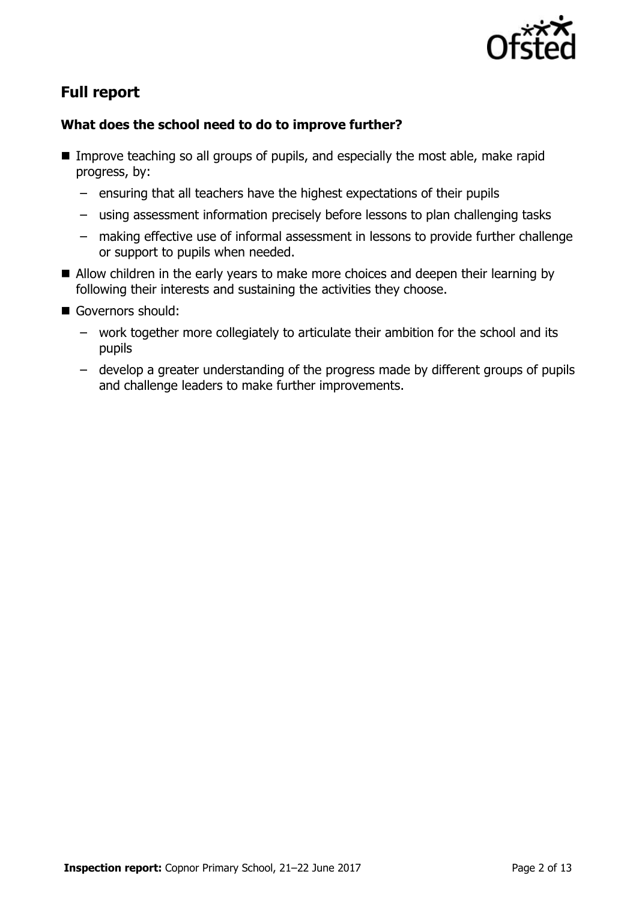

# **Full report**

### **What does the school need to do to improve further?**

- Improve teaching so all groups of pupils, and especially the most able, make rapid progress, by:
	- ensuring that all teachers have the highest expectations of their pupils
	- using assessment information precisely before lessons to plan challenging tasks
	- making effective use of informal assessment in lessons to provide further challenge or support to pupils when needed.
- Allow children in the early years to make more choices and deepen their learning by following their interests and sustaining the activities they choose.
- Governors should:
	- work together more collegiately to articulate their ambition for the school and its pupils
	- develop a greater understanding of the progress made by different groups of pupils and challenge leaders to make further improvements.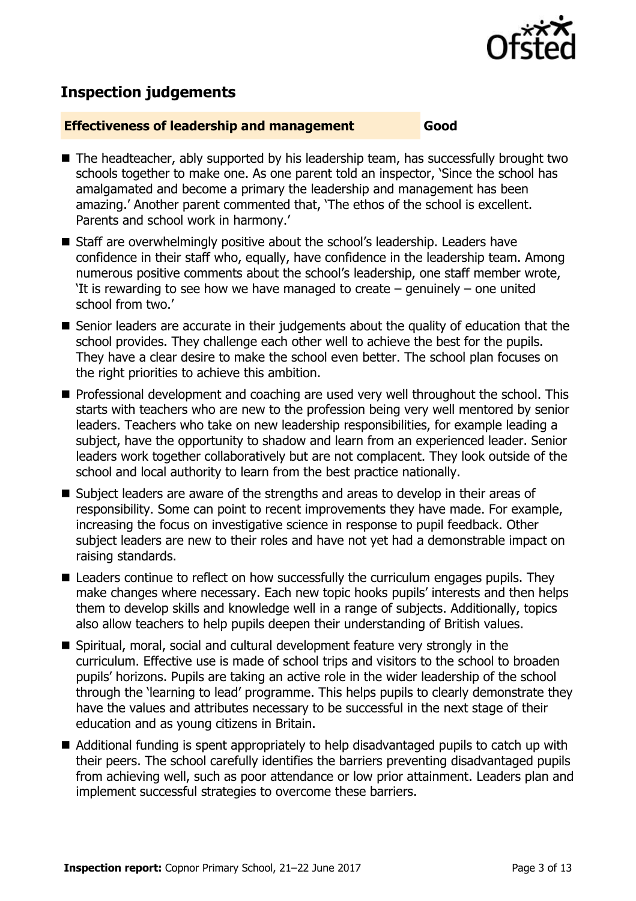

# **Inspection judgements**

#### **Effectiveness of leadership and management Good**

- The headteacher, ably supported by his leadership team, has successfully brought two schools together to make one. As one parent told an inspector, 'Since the school has amalgamated and become a primary the leadership and management has been amazing.' Another parent commented that, 'The ethos of the school is excellent. Parents and school work in harmony.'
- Staff are overwhelmingly positive about the school's leadership. Leaders have confidence in their staff who, equally, have confidence in the leadership team. Among numerous positive comments about the school's leadership, one staff member wrote, 'It is rewarding to see how we have managed to create – genuinely – one united school from two.'
- Senior leaders are accurate in their judgements about the quality of education that the school provides. They challenge each other well to achieve the best for the pupils. They have a clear desire to make the school even better. The school plan focuses on the right priorities to achieve this ambition.
- **Professional development and coaching are used very well throughout the school. This** starts with teachers who are new to the profession being very well mentored by senior leaders. Teachers who take on new leadership responsibilities, for example leading a subject, have the opportunity to shadow and learn from an experienced leader. Senior leaders work together collaboratively but are not complacent. They look outside of the school and local authority to learn from the best practice nationally.
- Subject leaders are aware of the strengths and areas to develop in their areas of responsibility. Some can point to recent improvements they have made. For example, increasing the focus on investigative science in response to pupil feedback. Other subject leaders are new to their roles and have not yet had a demonstrable impact on raising standards.
- Leaders continue to reflect on how successfully the curriculum engages pupils. They make changes where necessary. Each new topic hooks pupils' interests and then helps them to develop skills and knowledge well in a range of subjects. Additionally, topics also allow teachers to help pupils deepen their understanding of British values.
- Spiritual, moral, social and cultural development feature very strongly in the curriculum. Effective use is made of school trips and visitors to the school to broaden pupils' horizons. Pupils are taking an active role in the wider leadership of the school through the 'learning to lead' programme. This helps pupils to clearly demonstrate they have the values and attributes necessary to be successful in the next stage of their education and as young citizens in Britain.
- Additional funding is spent appropriately to help disadvantaged pupils to catch up with their peers. The school carefully identifies the barriers preventing disadvantaged pupils from achieving well, such as poor attendance or low prior attainment. Leaders plan and implement successful strategies to overcome these barriers.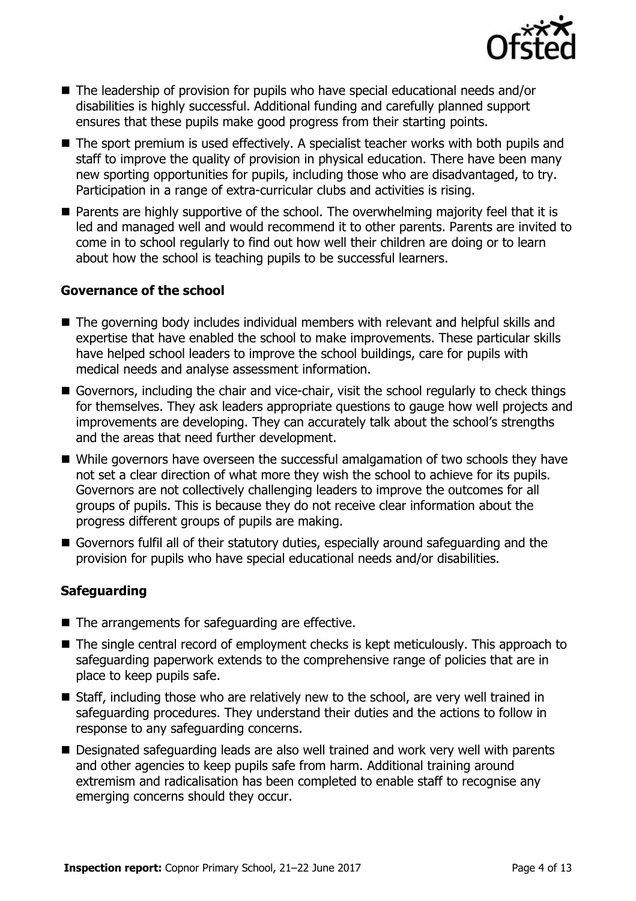

- The leadership of provision for pupils who have special educational needs and/or disabilities is highly successful. Additional funding and carefully planned support ensures that these pupils make good progress from their starting points.
- The sport premium is used effectively. A specialist teacher works with both pupils and staff to improve the quality of provision in physical education. There have been many new sporting opportunities for pupils, including those who are disadvantaged, to try. Participation in a range of extra-curricular clubs and activities is rising.
- Parents are highly supportive of the school. The overwhelming majority feel that it is led and managed well and would recommend it to other parents. Parents are invited to come in to school regularly to find out how well their children are doing or to learn about how the school is teaching pupils to be successful learners.

#### **Governance of the school**

- The governing body includes individual members with relevant and helpful skills and expertise that have enabled the school to make improvements. These particular skills have helped school leaders to improve the school buildings, care for pupils with medical needs and analyse assessment information.
- Governors, including the chair and vice-chair, visit the school regularly to check things for themselves. They ask leaders appropriate questions to gauge how well projects and improvements are developing. They can accurately talk about the school's strengths and the areas that need further development.
- While governors have overseen the successful amalgamation of two schools they have not set a clear direction of what more they wish the school to achieve for its pupils. Governors are not collectively challenging leaders to improve the outcomes for all groups of pupils. This is because they do not receive clear information about the progress different groups of pupils are making.
- Governors fulfil all of their statutory duties, especially around safeguarding and the provision for pupils who have special educational needs and/or disabilities.

#### **Safeguarding**

- The arrangements for safeguarding are effective.
- The single central record of employment checks is kept meticulously. This approach to safeguarding paperwork extends to the comprehensive range of policies that are in place to keep pupils safe.
- Staff, including those who are relatively new to the school, are very well trained in safeguarding procedures. They understand their duties and the actions to follow in response to any safeguarding concerns.
- Designated safeguarding leads are also well trained and work very well with parents and other agencies to keep pupils safe from harm. Additional training around extremism and radicalisation has been completed to enable staff to recognise any emerging concerns should they occur.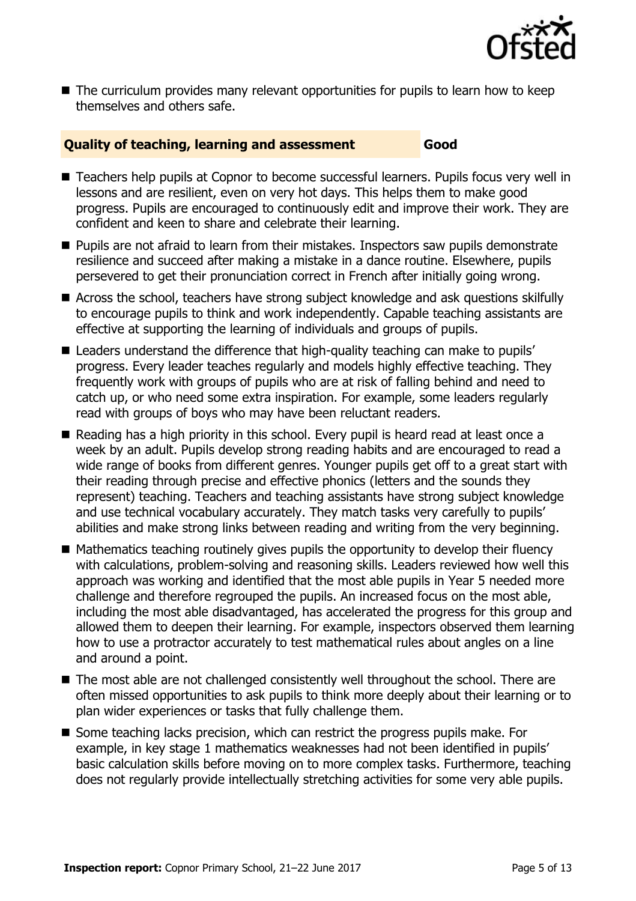

■ The curriculum provides many relevant opportunities for pupils to learn how to keep themselves and others safe.

#### **Quality of teaching, learning and assessment Good**

- Teachers help pupils at Copnor to become successful learners. Pupils focus very well in lessons and are resilient, even on very hot days. This helps them to make good progress. Pupils are encouraged to continuously edit and improve their work. They are confident and keen to share and celebrate their learning.
- **Pupils are not afraid to learn from their mistakes. Inspectors saw pupils demonstrate** resilience and succeed after making a mistake in a dance routine. Elsewhere, pupils persevered to get their pronunciation correct in French after initially going wrong.
- Across the school, teachers have strong subject knowledge and ask questions skilfully to encourage pupils to think and work independently. Capable teaching assistants are effective at supporting the learning of individuals and groups of pupils.
- Leaders understand the difference that high-quality teaching can make to pupils' progress. Every leader teaches regularly and models highly effective teaching. They frequently work with groups of pupils who are at risk of falling behind and need to catch up, or who need some extra inspiration. For example, some leaders regularly read with groups of boys who may have been reluctant readers.
- Reading has a high priority in this school. Every pupil is heard read at least once a week by an adult. Pupils develop strong reading habits and are encouraged to read a wide range of books from different genres. Younger pupils get off to a great start with their reading through precise and effective phonics (letters and the sounds they represent) teaching. Teachers and teaching assistants have strong subject knowledge and use technical vocabulary accurately. They match tasks very carefully to pupils' abilities and make strong links between reading and writing from the very beginning.
- Mathematics teaching routinely gives pupils the opportunity to develop their fluency with calculations, problem-solving and reasoning skills. Leaders reviewed how well this approach was working and identified that the most able pupils in Year 5 needed more challenge and therefore regrouped the pupils. An increased focus on the most able, including the most able disadvantaged, has accelerated the progress for this group and allowed them to deepen their learning. For example, inspectors observed them learning how to use a protractor accurately to test mathematical rules about angles on a line and around a point.
- The most able are not challenged consistently well throughout the school. There are often missed opportunities to ask pupils to think more deeply about their learning or to plan wider experiences or tasks that fully challenge them.
- Some teaching lacks precision, which can restrict the progress pupils make. For example, in key stage 1 mathematics weaknesses had not been identified in pupils' basic calculation skills before moving on to more complex tasks. Furthermore, teaching does not regularly provide intellectually stretching activities for some very able pupils.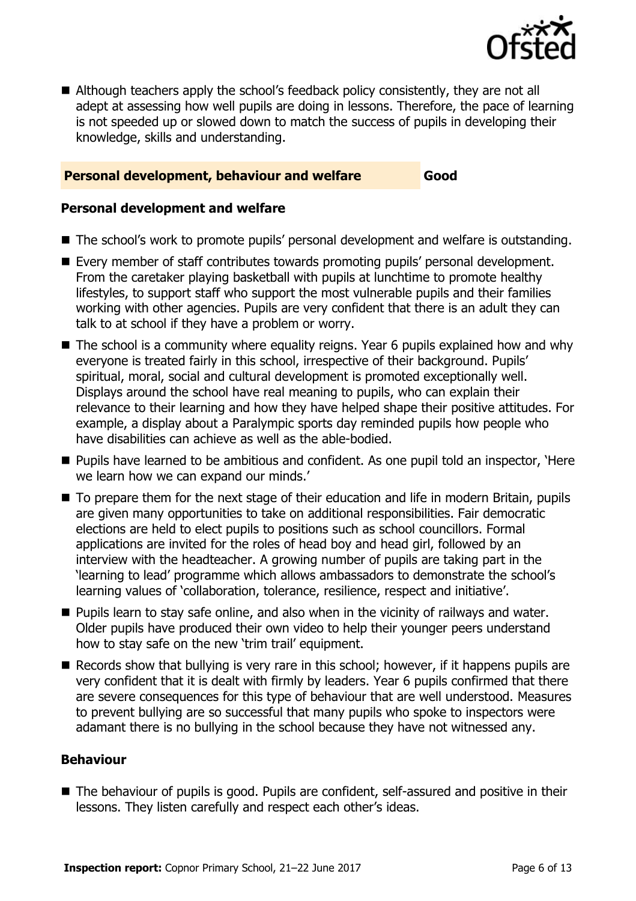

■ Although teachers apply the school's feedback policy consistently, they are not all adept at assessing how well pupils are doing in lessons. Therefore, the pace of learning is not speeded up or slowed down to match the success of pupils in developing their knowledge, skills and understanding.

#### **Personal development, behaviour and welfare Good**

#### **Personal development and welfare**

- The school's work to promote pupils' personal development and welfare is outstanding.
- Every member of staff contributes towards promoting pupils' personal development. From the caretaker playing basketball with pupils at lunchtime to promote healthy lifestyles, to support staff who support the most vulnerable pupils and their families working with other agencies. Pupils are very confident that there is an adult they can talk to at school if they have a problem or worry.
- The school is a community where equality reigns. Year 6 pupils explained how and why everyone is treated fairly in this school, irrespective of their background. Pupils' spiritual, moral, social and cultural development is promoted exceptionally well. Displays around the school have real meaning to pupils, who can explain their relevance to their learning and how they have helped shape their positive attitudes. For example, a display about a Paralympic sports day reminded pupils how people who have disabilities can achieve as well as the able-bodied.
- **Pupils have learned to be ambitious and confident. As one pupil told an inspector, 'Here** we learn how we can expand our minds.'
- To prepare them for the next stage of their education and life in modern Britain, pupils are given many opportunities to take on additional responsibilities. Fair democratic elections are held to elect pupils to positions such as school councillors. Formal applications are invited for the roles of head boy and head girl, followed by an interview with the headteacher. A growing number of pupils are taking part in the 'learning to lead' programme which allows ambassadors to demonstrate the school's learning values of 'collaboration, tolerance, resilience, respect and initiative'.
- **Pupils learn to stay safe online, and also when in the vicinity of railways and water.** Older pupils have produced their own video to help their younger peers understand how to stay safe on the new 'trim trail' equipment.
- Records show that bullying is very rare in this school; however, if it happens pupils are very confident that it is dealt with firmly by leaders. Year 6 pupils confirmed that there are severe consequences for this type of behaviour that are well understood. Measures to prevent bullying are so successful that many pupils who spoke to inspectors were adamant there is no bullying in the school because they have not witnessed any.

#### **Behaviour**

■ The behaviour of pupils is good. Pupils are confident, self-assured and positive in their lessons. They listen carefully and respect each other's ideas.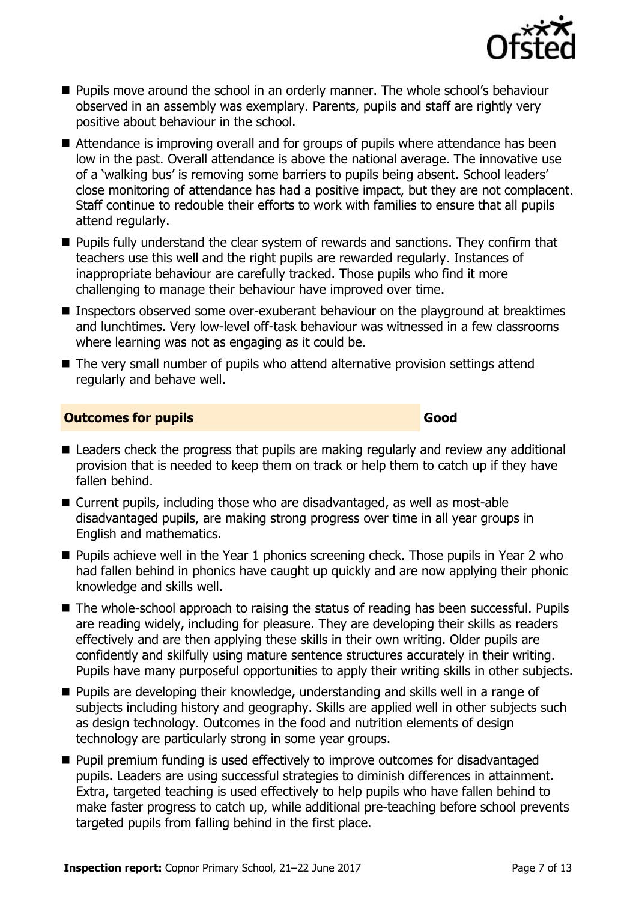

- **Pupils move around the school in an orderly manner. The whole school's behaviour** observed in an assembly was exemplary. Parents, pupils and staff are rightly very positive about behaviour in the school.
- Attendance is improving overall and for groups of pupils where attendance has been low in the past. Overall attendance is above the national average. The innovative use of a 'walking bus' is removing some barriers to pupils being absent. School leaders' close monitoring of attendance has had a positive impact, but they are not complacent. Staff continue to redouble their efforts to work with families to ensure that all pupils attend regularly.
- **Pupils fully understand the clear system of rewards and sanctions. They confirm that** teachers use this well and the right pupils are rewarded regularly. Instances of inappropriate behaviour are carefully tracked. Those pupils who find it more challenging to manage their behaviour have improved over time.
- **Inspectors observed some over-exuberant behaviour on the playground at breaktimes** and lunchtimes. Very low-level off-task behaviour was witnessed in a few classrooms where learning was not as engaging as it could be.
- The very small number of pupils who attend alternative provision settings attend regularly and behave well.

#### **Outcomes for pupils Good**

- Leaders check the progress that pupils are making regularly and review any additional provision that is needed to keep them on track or help them to catch up if they have fallen behind.
- Current pupils, including those who are disadvantaged, as well as most-able disadvantaged pupils, are making strong progress over time in all year groups in English and mathematics.
- **Pupils achieve well in the Year 1 phonics screening check. Those pupils in Year 2 who** had fallen behind in phonics have caught up quickly and are now applying their phonic knowledge and skills well.
- The whole-school approach to raising the status of reading has been successful. Pupils are reading widely, including for pleasure. They are developing their skills as readers effectively and are then applying these skills in their own writing. Older pupils are confidently and skilfully using mature sentence structures accurately in their writing. Pupils have many purposeful opportunities to apply their writing skills in other subjects.
- **Pupils are developing their knowledge, understanding and skills well in a range of** subjects including history and geography. Skills are applied well in other subjects such as design technology. Outcomes in the food and nutrition elements of design technology are particularly strong in some year groups.
- Pupil premium funding is used effectively to improve outcomes for disadvantaged pupils. Leaders are using successful strategies to diminish differences in attainment. Extra, targeted teaching is used effectively to help pupils who have fallen behind to make faster progress to catch up, while additional pre-teaching before school prevents targeted pupils from falling behind in the first place.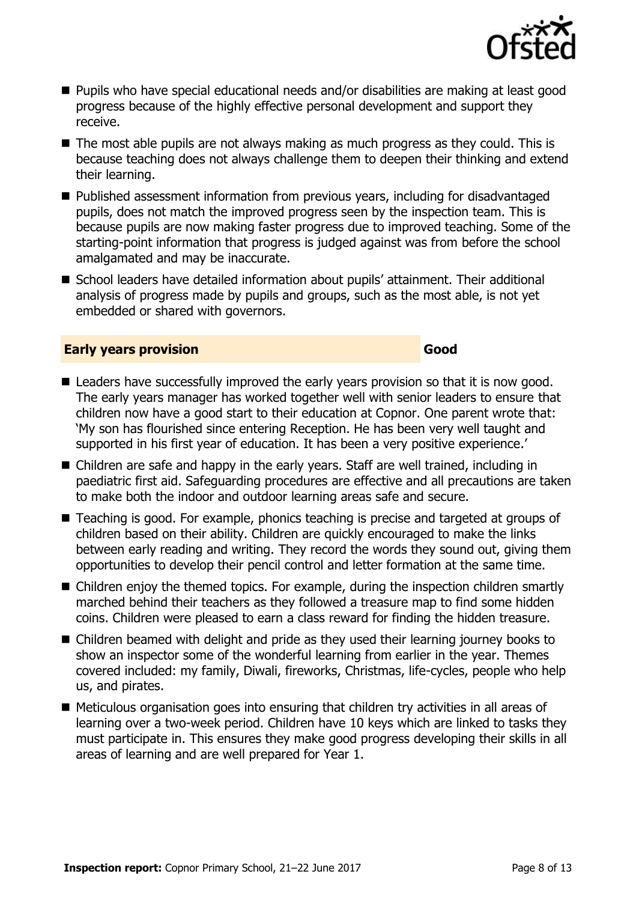

- Pupils who have special educational needs and/or disabilities are making at least good progress because of the highly effective personal development and support they receive.
- The most able pupils are not always making as much progress as they could. This is because teaching does not always challenge them to deepen their thinking and extend their learning.
- Published assessment information from previous vears, including for disadvantaged pupils, does not match the improved progress seen by the inspection team. This is because pupils are now making faster progress due to improved teaching. Some of the starting-point information that progress is judged against was from before the school amalgamated and may be inaccurate.
- School leaders have detailed information about pupils' attainment. Their additional analysis of progress made by pupils and groups, such as the most able, is not yet embedded or shared with governors.

#### **Early years provision Good Good**

- Leaders have successfully improved the early years provision so that it is now good. The early years manager has worked together well with senior leaders to ensure that children now have a good start to their education at Copnor. One parent wrote that: 'My son has flourished since entering Reception. He has been very well taught and supported in his first year of education. It has been a very positive experience.'
- Children are safe and happy in the early years. Staff are well trained, including in paediatric first aid. Safeguarding procedures are effective and all precautions are taken to make both the indoor and outdoor learning areas safe and secure.
- Teaching is good. For example, phonics teaching is precise and targeted at groups of children based on their ability. Children are quickly encouraged to make the links between early reading and writing. They record the words they sound out, giving them opportunities to develop their pencil control and letter formation at the same time.
- Children enjoy the themed topics. For example, during the inspection children smartly marched behind their teachers as they followed a treasure map to find some hidden coins. Children were pleased to earn a class reward for finding the hidden treasure.
- Children beamed with delight and pride as they used their learning journey books to show an inspector some of the wonderful learning from earlier in the year. Themes covered included: my family, Diwali, fireworks, Christmas, life-cycles, people who help us, and pirates.
- Meticulous organisation goes into ensuring that children try activities in all areas of learning over a two-week period. Children have 10 keys which are linked to tasks they must participate in. This ensures they make good progress developing their skills in all areas of learning and are well prepared for Year 1.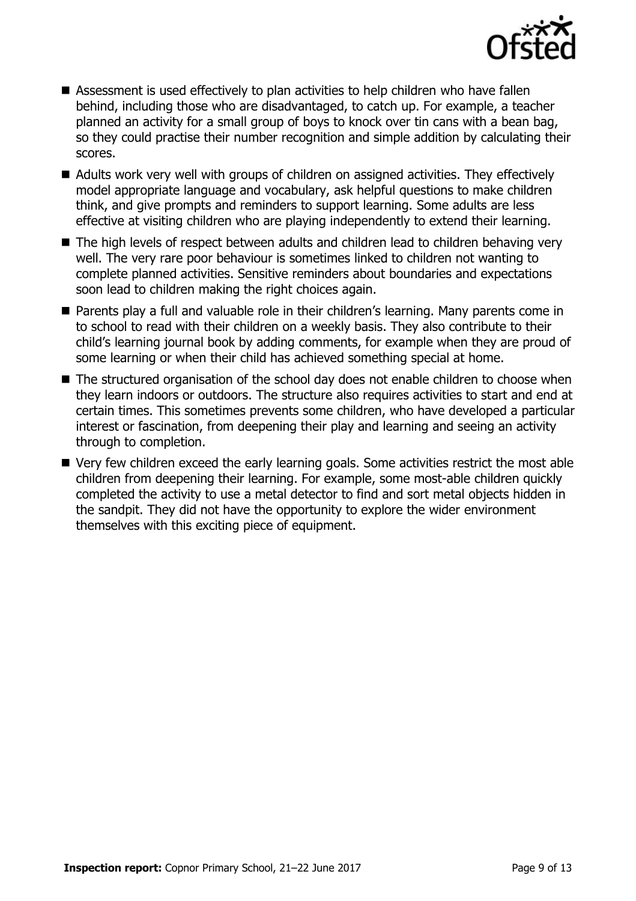

- Assessment is used effectively to plan activities to help children who have fallen behind, including those who are disadvantaged, to catch up. For example, a teacher planned an activity for a small group of boys to knock over tin cans with a bean bag, so they could practise their number recognition and simple addition by calculating their scores.
- Adults work very well with groups of children on assigned activities. They effectively model appropriate language and vocabulary, ask helpful questions to make children think, and give prompts and reminders to support learning. Some adults are less effective at visiting children who are playing independently to extend their learning.
- The high levels of respect between adults and children lead to children behaving very well. The very rare poor behaviour is sometimes linked to children not wanting to complete planned activities. Sensitive reminders about boundaries and expectations soon lead to children making the right choices again.
- Parents play a full and valuable role in their children's learning. Many parents come in to school to read with their children on a weekly basis. They also contribute to their child's learning journal book by adding comments, for example when they are proud of some learning or when their child has achieved something special at home.
- The structured organisation of the school day does not enable children to choose when they learn indoors or outdoors. The structure also requires activities to start and end at certain times. This sometimes prevents some children, who have developed a particular interest or fascination, from deepening their play and learning and seeing an activity through to completion.
- Very few children exceed the early learning goals. Some activities restrict the most able children from deepening their learning. For example, some most-able children quickly completed the activity to use a metal detector to find and sort metal objects hidden in the sandpit. They did not have the opportunity to explore the wider environment themselves with this exciting piece of equipment.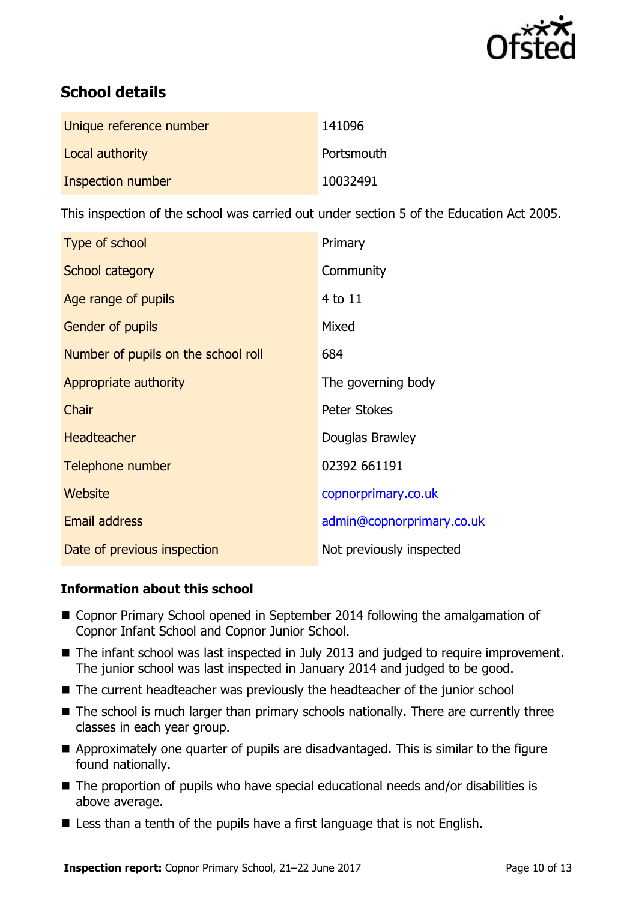

# **School details**

| Unique reference number | 141096     |
|-------------------------|------------|
| Local authority         | Portsmouth |
| Inspection number       | 10032491   |

This inspection of the school was carried out under section 5 of the Education Act 2005.

| Type of school                      | Primary                   |  |
|-------------------------------------|---------------------------|--|
| School category                     | Community                 |  |
| Age range of pupils                 | 4 to 11                   |  |
| <b>Gender of pupils</b>             | Mixed                     |  |
| Number of pupils on the school roll | 684                       |  |
| Appropriate authority               | The governing body        |  |
| Chair                               | <b>Peter Stokes</b>       |  |
| <b>Headteacher</b>                  | Douglas Brawley           |  |
| Telephone number                    | 02392 661191              |  |
| Website                             | copnorprimary.co.uk       |  |
| <b>Email address</b>                | admin@copnorprimary.co.uk |  |
| Date of previous inspection         | Not previously inspected  |  |

#### **Information about this school**

- Copnor Primary School opened in September 2014 following the amalgamation of Copnor Infant School and Copnor Junior School.
- The infant school was last inspected in July 2013 and judged to require improvement. The junior school was last inspected in January 2014 and judged to be good.
- The current headteacher was previously the headteacher of the junior school
- The school is much larger than primary schools nationally. There are currently three classes in each year group.
- Approximately one quarter of pupils are disadvantaged. This is similar to the figure found nationally.
- The proportion of pupils who have special educational needs and/or disabilities is above average.
- Less than a tenth of the pupils have a first language that is not English.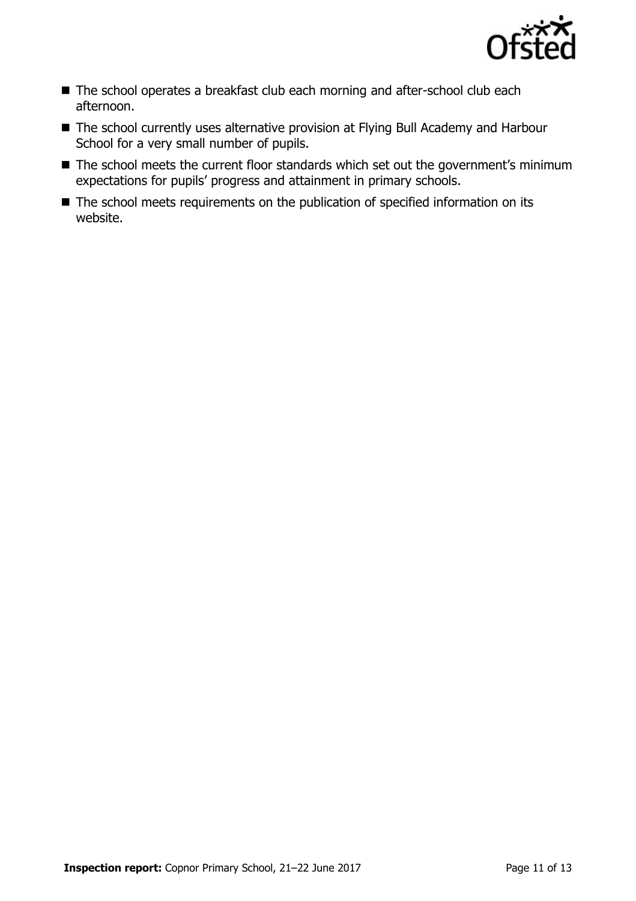

- The school operates a breakfast club each morning and after-school club each afternoon.
- The school currently uses alternative provision at Flying Bull Academy and Harbour School for a very small number of pupils.
- The school meets the current floor standards which set out the government's minimum expectations for pupils' progress and attainment in primary schools.
- The school meets requirements on the publication of specified information on its website.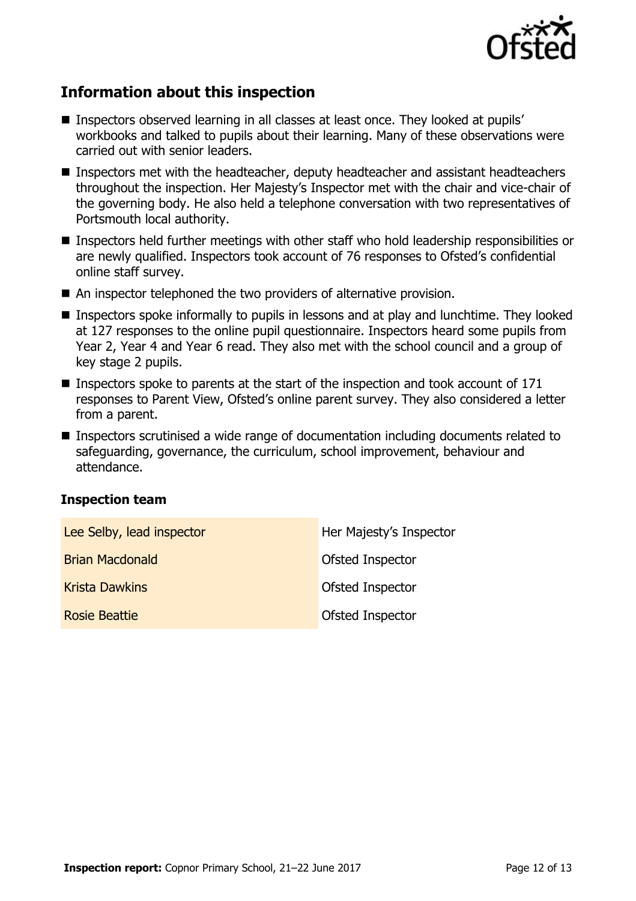

# **Information about this inspection**

- Inspectors observed learning in all classes at least once. They looked at pupils' workbooks and talked to pupils about their learning. Many of these observations were carried out with senior leaders.
- Inspectors met with the headteacher, deputy headteacher and assistant headteachers throughout the inspection. Her Majesty's Inspector met with the chair and vice-chair of the governing body. He also held a telephone conversation with two representatives of Portsmouth local authority.
- Inspectors held further meetings with other staff who hold leadership responsibilities or are newly qualified. Inspectors took account of 76 responses to Ofsted's confidential online staff survey.
- An inspector telephoned the two providers of alternative provision.
- **Inspectors spoke informally to pupils in lessons and at play and lunchtime. They looked** at 127 responses to the online pupil questionnaire. Inspectors heard some pupils from Year 2, Year 4 and Year 6 read. They also met with the school council and a group of key stage 2 pupils.
- **Inspectors spoke to parents at the start of the inspection and took account of 171** responses to Parent View, Ofsted's online parent survey. They also considered a letter from a parent.
- Inspectors scrutinised a wide range of documentation including documents related to safeguarding, governance, the curriculum, school improvement, behaviour and attendance.

#### **Inspection team**

| Lee Selby, lead inspector | Her Majesty's Inspector |
|---------------------------|-------------------------|
| <b>Brian Macdonald</b>    | Ofsted Inspector        |
| <b>Krista Dawkins</b>     | <b>Ofsted Inspector</b> |
| Rosie Beattie             | <b>Ofsted Inspector</b> |